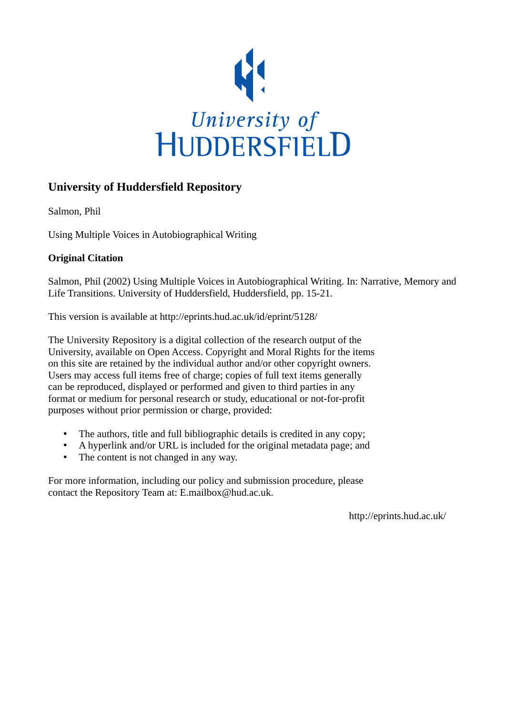

## **University of Huddersfield Repository**

Salmon, Phil

Using Multiple Voices in Autobiographical Writing

### **Original Citation**

Salmon, Phil (2002) Using Multiple Voices in Autobiographical Writing. In: Narrative, Memory and Life Transitions. University of Huddersfield, Huddersfield, pp. 15-21.

This version is available at http://eprints.hud.ac.uk/id/eprint/5128/

The University Repository is a digital collection of the research output of the University, available on Open Access. Copyright and Moral Rights for the items on this site are retained by the individual author and/or other copyright owners. Users may access full items free of charge; copies of full text items generally can be reproduced, displayed or performed and given to third parties in any format or medium for personal research or study, educational or not-for-profit purposes without prior permission or charge, provided:

- The authors, title and full bibliographic details is credited in any copy;
- A hyperlink and/or URL is included for the original metadata page; and
- The content is not changed in any way.

For more information, including our policy and submission procedure, please contact the Repository Team at: E.mailbox@hud.ac.uk.

http://eprints.hud.ac.uk/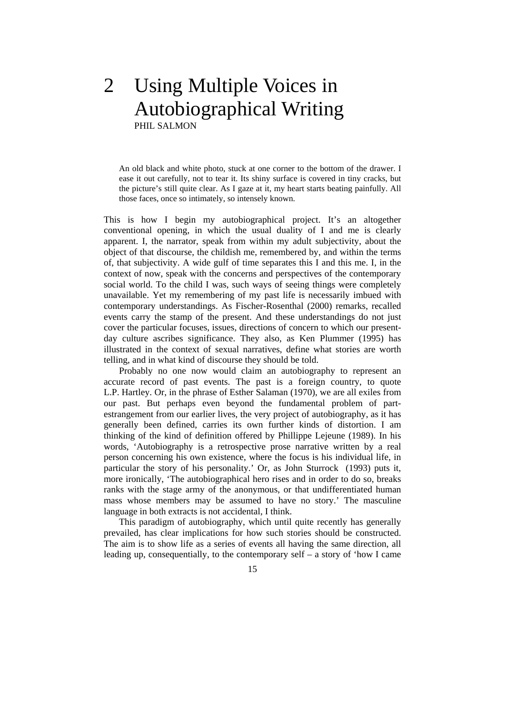# 2 Using Multiple Voices in Autobiographical Writing PHIL SALMON

An old black and white photo, stuck at one corner to the bottom of the drawer. I ease it out carefully, not to tear it. Its shiny surface is covered in tiny cracks, but the picture's still quite clear. As I gaze at it, my heart starts beating painfully. All those faces, once so intimately, so intensely known.

This is how I begin my autobiographical project. It's an altogether conventional opening, in which the usual duality of I and me is clearly apparent. I, the narrator, speak from within my adult subjectivity, about the object of that discourse, the childish me, remembered by, and within the terms of, that subjectivity. A wide gulf of time separates this I and this me. I, in the context of now, speak with the concerns and perspectives of the contemporary social world. To the child I was, such ways of seeing things were completely unavailable. Yet my remembering of my past life is necessarily imbued with contemporary understandings. As Fischer-Rosenthal (2000) remarks, recalled events carry the stamp of the present. And these understandings do not just cover the particular focuses, issues, directions of concern to which our presentday culture ascribes significance. They also, as Ken Plummer (1995) has illustrated in the context of sexual narratives, define what stories are worth telling, and in what kind of discourse they should be told.

 Probably no one now would claim an autobiography to represent an accurate record of past events. The past is a foreign country, to quote L.P. Hartley. Or, in the phrase of Esther Salaman (1970), we are all exiles from our past. But perhaps even beyond the fundamental problem of partestrangement from our earlier lives, the very project of autobiography, as it has generally been defined, carries its own further kinds of distortion. I am thinking of the kind of definition offered by Phillippe Lejeune (1989). In his words, 'Autobiography is a retrospective prose narrative written by a real person concerning his own existence, where the focus is his individual life, in particular the story of his personality.' Or, as John Sturrock (1993) puts it, more ironically, 'The autobiographical hero rises and in order to do so, breaks ranks with the stage army of the anonymous, or that undifferentiated human mass whose members may be assumed to have no story.' The masculine language in both extracts is not accidental, I think.

 This paradigm of autobiography, which until quite recently has generally prevailed, has clear implications for how such stories should be constructed. The aim is to show life as a series of events all having the same direction, all leading up, consequentially, to the contemporary self – a story of 'how I came

15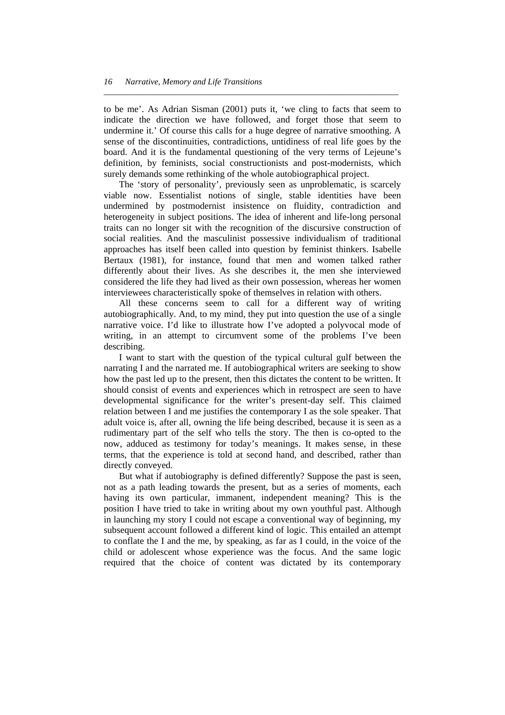to be me'. As Adrian Sisman (2001) puts it, 'we cling to facts that seem to indicate the direction we have followed, and forget those that seem to undermine it.' Of course this calls for a huge degree of narrative smoothing. A sense of the discontinuities, contradictions, untidiness of real life goes by the board. And it is the fundamental questioning of the very terms of Lejeune's definition, by feminists, social constructionists and post-modernists, which surely demands some rethinking of the whole autobiographical project.

*\_\_\_\_\_\_\_\_\_\_\_\_\_\_\_\_\_\_\_\_\_\_\_\_\_\_\_\_\_\_\_\_\_\_\_\_\_\_\_\_\_\_\_\_\_\_\_\_\_\_\_\_\_\_\_\_\_\_\_\_\_\_\_\_\_\_\_\_\_* 

 The 'story of personality', previously seen as unproblematic, is scarcely viable now. Essentialist notions of single, stable identities have been undermined by postmodernist insistence on fluidity, contradiction and heterogeneity in subject positions. The idea of inherent and life-long personal traits can no longer sit with the recognition of the discursive construction of social realities. And the masculinist possessive individualism of traditional approaches has itself been called into question by feminist thinkers. Isabelle Bertaux (1981), for instance, found that men and women talked rather differently about their lives. As she describes it, the men she interviewed considered the life they had lived as their own possession, whereas her women interviewees characteristically spoke of themselves in relation with others.

 All these concerns seem to call for a different way of writing autobiographically. And, to my mind, they put into question the use of a single narrative voice. I'd like to illustrate how I've adopted a polyvocal mode of writing, in an attempt to circumvent some of the problems I've been describing.

 I want to start with the question of the typical cultural gulf between the narrating I and the narrated me. If autobiographical writers are seeking to show how the past led up to the present, then this dictates the content to be written. It should consist of events and experiences which in retrospect are seen to have developmental significance for the writer's present-day self. This claimed relation between I and me justifies the contemporary I as the sole speaker. That adult voice is, after all, owning the life being described, because it is seen as a rudimentary part of the self who tells the story. The then is co-opted to the now, adduced as testimony for today's meanings. It makes sense, in these terms, that the experience is told at second hand, and described, rather than directly conveyed.

 But what if autobiography is defined differently? Suppose the past is seen, not as a path leading towards the present, but as a series of moments, each having its own particular, immanent, independent meaning? This is the position I have tried to take in writing about my own youthful past. Although in launching my story I could not escape a conventional way of beginning, my subsequent account followed a different kind of logic. This entailed an attempt to conflate the I and the me, by speaking, as far as I could, in the voice of the child or adolescent whose experience was the focus. And the same logic required that the choice of content was dictated by its contemporary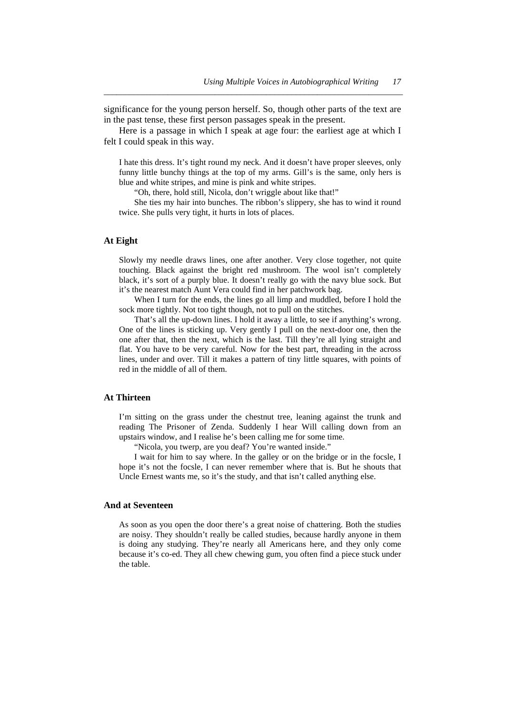significance for the young person herself. So, though other parts of the text are in the past tense, these first person passages speak in the present.

*\_\_\_\_\_\_\_\_\_\_\_\_\_\_\_\_\_\_\_\_\_\_\_\_\_\_\_\_\_\_\_\_\_\_\_\_\_\_\_\_\_\_\_\_\_\_\_\_\_\_\_\_\_\_\_\_\_\_\_\_\_\_\_\_\_\_\_\_\_\_* 

 Here is a passage in which I speak at age four: the earliest age at which I felt I could speak in this way.

I hate this dress. It's tight round my neck. And it doesn't have proper sleeves, only funny little bunchy things at the top of my arms. Gill's is the same, only hers is blue and white stripes, and mine is pink and white stripes.

"Oh, there, hold still, Nicola, don't wriggle about like that!"

 She ties my hair into bunches. The ribbon's slippery, she has to wind it round twice. She pulls very tight, it hurts in lots of places.

#### **At Eight**

Slowly my needle draws lines, one after another. Very close together, not quite touching. Black against the bright red mushroom. The wool isn't completely black, it's sort of a purply blue. It doesn't really go with the navy blue sock. But it's the nearest match Aunt Vera could find in her patchwork bag.

 When I turn for the ends, the lines go all limp and muddled, before I hold the sock more tightly. Not too tight though, not to pull on the stitches.

 That's all the up-down lines. I hold it away a little, to see if anything's wrong. One of the lines is sticking up. Very gently I pull on the next-door one, then the one after that, then the next, which is the last. Till they're all lying straight and flat. You have to be very careful. Now for the best part, threading in the across lines, under and over. Till it makes a pattern of tiny little squares, with points of red in the middle of all of them.

#### **At Thirteen**

I'm sitting on the grass under the chestnut tree, leaning against the trunk and reading The Prisoner of Zenda. Suddenly I hear Will calling down from an upstairs window, and I realise he's been calling me for some time.

"Nicola, you twerp, are you deaf? You're wanted inside."

 I wait for him to say where. In the galley or on the bridge or in the focsle, I hope it's not the focsle, I can never remember where that is. But he shouts that Uncle Ernest wants me, so it's the study, and that isn't called anything else.

#### **And at Seventeen**

As soon as you open the door there's a great noise of chattering. Both the studies are noisy. They shouldn't really be called studies, because hardly anyone in them is doing any studying. They're nearly all Americans here, and they only come because it's co-ed. They all chew chewing gum, you often find a piece stuck under the table.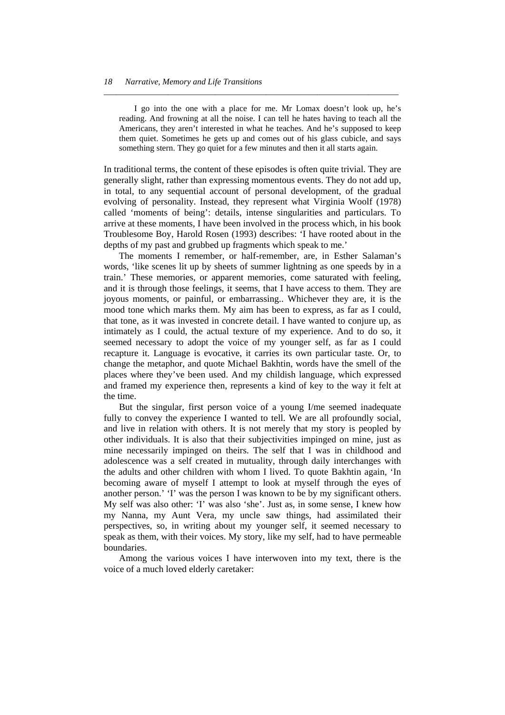I go into the one with a place for me. Mr Lomax doesn't look up, he's reading. And frowning at all the noise. I can tell he hates having to teach all the Americans, they aren't interested in what he teaches. And he's supposed to keep them quiet. Sometimes he gets up and comes out of his glass cubicle, and says something stern. They go quiet for a few minutes and then it all starts again.

*\_\_\_\_\_\_\_\_\_\_\_\_\_\_\_\_\_\_\_\_\_\_\_\_\_\_\_\_\_\_\_\_\_\_\_\_\_\_\_\_\_\_\_\_\_\_\_\_\_\_\_\_\_\_\_\_\_\_\_\_\_\_\_\_\_\_\_\_\_* 

In traditional terms, the content of these episodes is often quite trivial. They are generally slight, rather than expressing momentous events. They do not add up, in total, to any sequential account of personal development, of the gradual evolving of personality. Instead, they represent what Virginia Woolf (1978) called 'moments of being': details, intense singularities and particulars. To arrive at these moments, I have been involved in the process which, in his book Troublesome Boy, Harold Rosen (1993) describes: 'I have rooted about in the depths of my past and grubbed up fragments which speak to me.'

 The moments I remember, or half-remember, are, in Esther Salaman's words, 'like scenes lit up by sheets of summer lightning as one speeds by in a train.' These memories, or apparent memories, come saturated with feeling, and it is through those feelings, it seems, that I have access to them. They are joyous moments, or painful, or embarrassing.. Whichever they are, it is the mood tone which marks them. My aim has been to express, as far as I could, that tone, as it was invested in concrete detail. I have wanted to conjure up, as intimately as I could, the actual texture of my experience. And to do so, it seemed necessary to adopt the voice of my younger self, as far as I could recapture it. Language is evocative, it carries its own particular taste. Or, to change the metaphor, and quote Michael Bakhtin, words have the smell of the places where they've been used. And my childish language, which expressed and framed my experience then, represents a kind of key to the way it felt at the time.

 But the singular, first person voice of a young I/me seemed inadequate fully to convey the experience I wanted to tell. We are all profoundly social, and live in relation with others. It is not merely that my story is peopled by other individuals. It is also that their subjectivities impinged on mine, just as mine necessarily impinged on theirs. The self that I was in childhood and adolescence was a self created in mutuality, through daily interchanges with the adults and other children with whom I lived. To quote Bakhtin again, 'In becoming aware of myself I attempt to look at myself through the eyes of another person.' 'I' was the person I was known to be by my significant others. My self was also other: 'I' was also 'she'. Just as, in some sense, I knew how my Nanna, my Aunt Vera, my uncle saw things, had assimilated their perspectives, so, in writing about my younger self, it seemed necessary to speak as them, with their voices. My story, like my self, had to have permeable boundaries.

 Among the various voices I have interwoven into my text, there is the voice of a much loved elderly caretaker: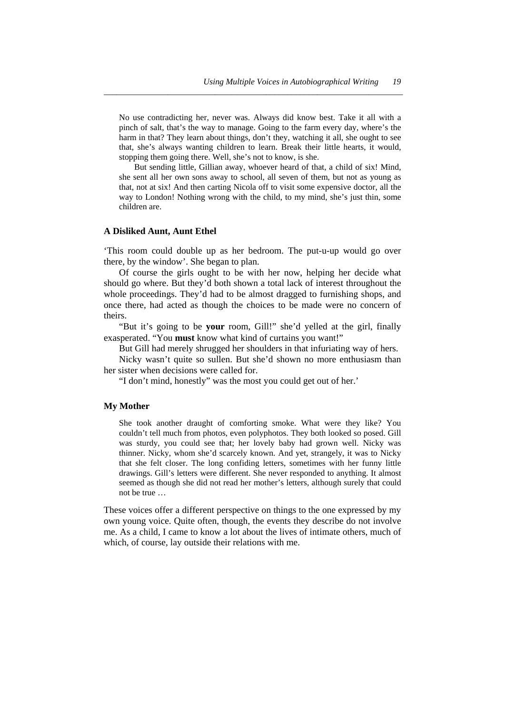No use contradicting her, never was. Always did know best. Take it all with a pinch of salt, that's the way to manage. Going to the farm every day, where's the harm in that? They learn about things, don't they, watching it all, she ought to see that, she's always wanting children to learn. Break their little hearts, it would, stopping them going there. Well, she's not to know, is she.

*\_\_\_\_\_\_\_\_\_\_\_\_\_\_\_\_\_\_\_\_\_\_\_\_\_\_\_\_\_\_\_\_\_\_\_\_\_\_\_\_\_\_\_\_\_\_\_\_\_\_\_\_\_\_\_\_\_\_\_\_\_\_\_\_\_\_\_\_\_\_* 

 But sending little, Gillian away, whoever heard of that, a child of six! Mind, she sent all her own sons away to school, all seven of them, but not as young as that, not at six! And then carting Nicola off to visit some expensive doctor, all the way to London! Nothing wrong with the child, to my mind, she's just thin, some children are.

#### **A Disliked Aunt, Aunt Ethel**

'This room could double up as her bedroom. The put-u-up would go over there, by the window'. She began to plan.

 Of course the girls ought to be with her now, helping her decide what should go where. But they'd both shown a total lack of interest throughout the whole proceedings. They'd had to be almost dragged to furnishing shops, and once there, had acted as though the choices to be made were no concern of theirs.

 "But it's going to be **your** room, Gill!" she'd yelled at the girl, finally exasperated. "You **must** know what kind of curtains you want!"

But Gill had merely shrugged her shoulders in that infuriating way of hers.

 Nicky wasn't quite so sullen. But she'd shown no more enthusiasm than her sister when decisions were called for.

"I don't mind, honestly" was the most you could get out of her.'

#### **My Mother**

She took another draught of comforting smoke. What were they like? You couldn't tell much from photos, even polyphotos. They both looked so posed. Gill was sturdy, you could see that; her lovely baby had grown well. Nicky was thinner. Nicky, whom she'd scarcely known. And yet, strangely, it was to Nicky that she felt closer. The long confiding letters, sometimes with her funny little drawings. Gill's letters were different. She never responded to anything. It almost seemed as though she did not read her mother's letters, although surely that could not be true

These voices offer a different perspective on things to the one expressed by my own young voice. Quite often, though, the events they describe do not involve me. As a child, I came to know a lot about the lives of intimate others, much of which, of course, lay outside their relations with me.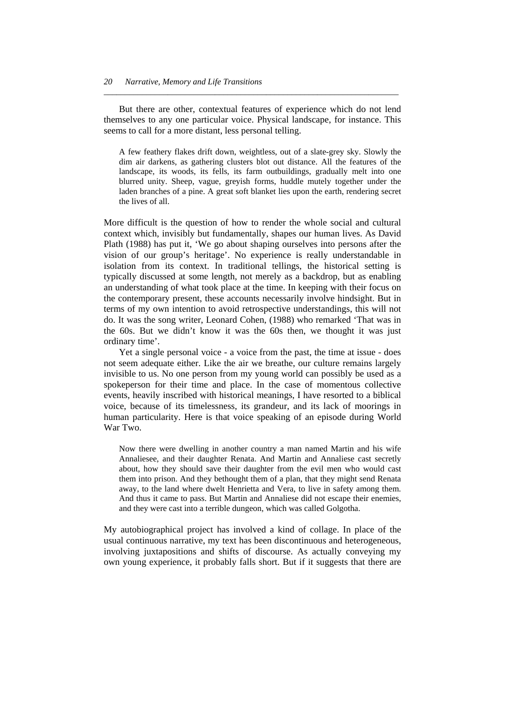But there are other, contextual features of experience which do not lend themselves to any one particular voice. Physical landscape, for instance. This seems to call for a more distant, less personal telling.

*\_\_\_\_\_\_\_\_\_\_\_\_\_\_\_\_\_\_\_\_\_\_\_\_\_\_\_\_\_\_\_\_\_\_\_\_\_\_\_\_\_\_\_\_\_\_\_\_\_\_\_\_\_\_\_\_\_\_\_\_\_\_\_\_\_\_\_\_\_* 

A few feathery flakes drift down, weightless, out of a slate-grey sky. Slowly the dim air darkens, as gathering clusters blot out distance. All the features of the landscape, its woods, its fells, its farm outbuildings, gradually melt into one blurred unity. Sheep, vague, greyish forms, huddle mutely together under the laden branches of a pine. A great soft blanket lies upon the earth, rendering secret the lives of all.

More difficult is the question of how to render the whole social and cultural context which, invisibly but fundamentally, shapes our human lives. As David Plath (1988) has put it, 'We go about shaping ourselves into persons after the vision of our group's heritage'. No experience is really understandable in isolation from its context. In traditional tellings, the historical setting is typically discussed at some length, not merely as a backdrop, but as enabling an understanding of what took place at the time. In keeping with their focus on the contemporary present, these accounts necessarily involve hindsight. But in terms of my own intention to avoid retrospective understandings, this will not do. It was the song writer, Leonard Cohen, (1988) who remarked 'That was in the 60s. But we didn't know it was the 60s then, we thought it was just ordinary time'.

 Yet a single personal voice - a voice from the past, the time at issue - does not seem adequate either. Like the air we breathe, our culture remains largely invisible to us. No one person from my young world can possibly be used as a spokeperson for their time and place. In the case of momentous collective events, heavily inscribed with historical meanings, I have resorted to a biblical voice, because of its timelessness, its grandeur, and its lack of moorings in human particularity. Here is that voice speaking of an episode during World War Two.

Now there were dwelling in another country a man named Martin and his wife Annaliesee, and their daughter Renata. And Martin and Annaliese cast secretly about, how they should save their daughter from the evil men who would cast them into prison. And they bethought them of a plan, that they might send Renata away, to the land where dwelt Henrietta and Vera, to live in safety among them. And thus it came to pass. But Martin and Annaliese did not escape their enemies, and they were cast into a terrible dungeon, which was called Golgotha.

My autobiographical project has involved a kind of collage. In place of the usual continuous narrative, my text has been discontinuous and heterogeneous, involving juxtapositions and shifts of discourse. As actually conveying my own young experience, it probably falls short. But if it suggests that there are